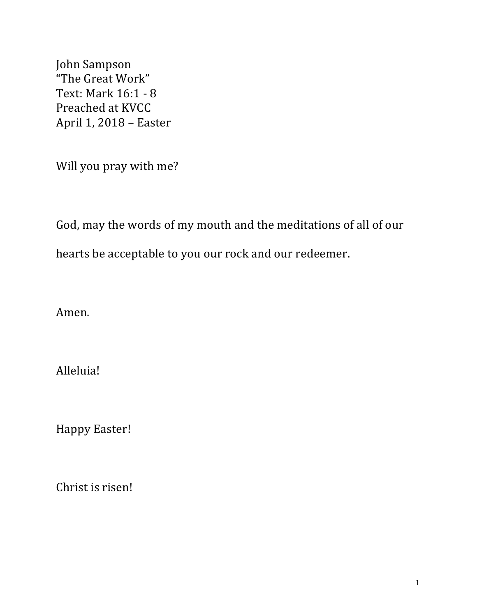John Sampson "The Great Work" Text: Mark 16:1 - 8 Preached at KVCC April 1, 2018 - Easter

Will you pray with me?

God, may the words of my mouth and the meditations of all of our

hearts be acceptable to you our rock and our redeemer.

Amen.

Alleluia!

Happy Easter!

Christ is risen!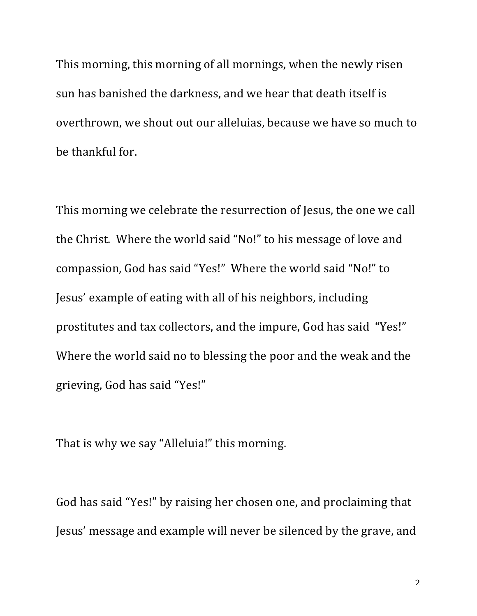This morning, this morning of all mornings, when the newly risen sun has banished the darkness, and we hear that death itself is overthrown, we shout out our alleluias, because we have so much to be thankful for.

This morning we celebrate the resurrection of Jesus, the one we call the Christ. Where the world said "No!" to his message of love and compassion, God has said "Yes!" Where the world said "No!" to Jesus' example of eating with all of his neighbors, including prostitutes and tax collectors, and the impure, God has said "Yes!" Where the world said no to blessing the poor and the weak and the grieving, God has said "Yes!"

That is why we say "Alleluia!" this morning.

God has said "Yes!" by raising her chosen one, and proclaiming that Jesus' message and example will never be silenced by the grave, and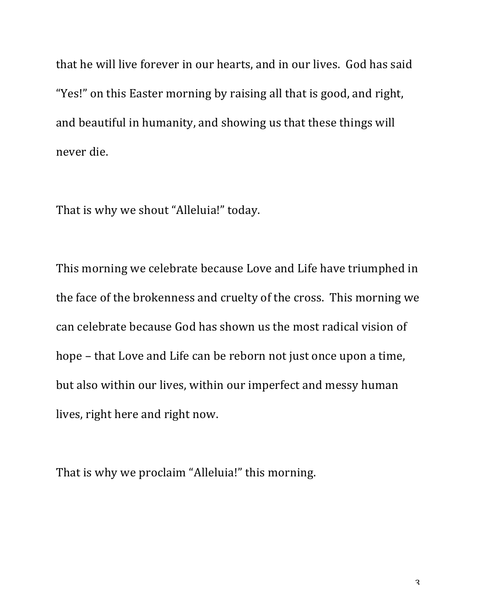that he will live forever in our hearts, and in our lives. God has said "Yes!" on this Easter morning by raising all that is good, and right, and beautiful in humanity, and showing us that these things will never die.

That is why we shout "Alleluia!" today.

This morning we celebrate because Love and Life have triumphed in the face of the brokenness and cruelty of the cross. This morning we can celebrate because God has shown us the most radical vision of hope – that Love and Life can be reborn not just once upon a time, but also within our lives, within our imperfect and messy human lives, right here and right now.

That is why we proclaim "Alleluia!" this morning.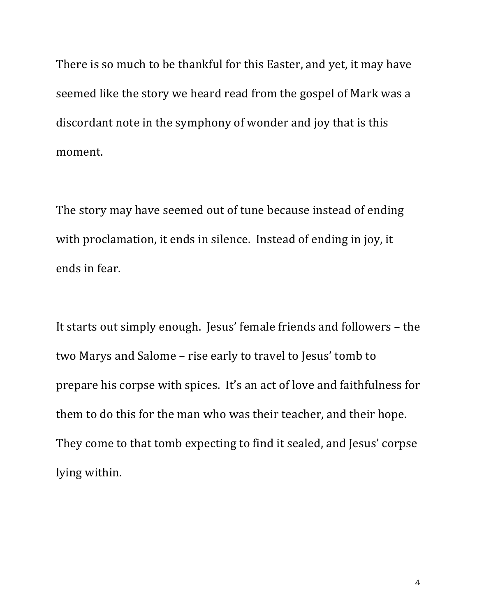There is so much to be thankful for this Easter, and yet, it may have seemed like the story we heard read from the gospel of Mark was a discordant note in the symphony of wonder and joy that is this moment.

The story may have seemed out of tune because instead of ending with proclamation, it ends in silence. Instead of ending in joy, it ends in fear.

It starts out simply enough. Jesus' female friends and followers – the two Marys and Salome – rise early to travel to Jesus' tomb to prepare his corpse with spices. It's an act of love and faithfulness for them to do this for the man who was their teacher, and their hope. They come to that tomb expecting to find it sealed, and Jesus' corpse lying within.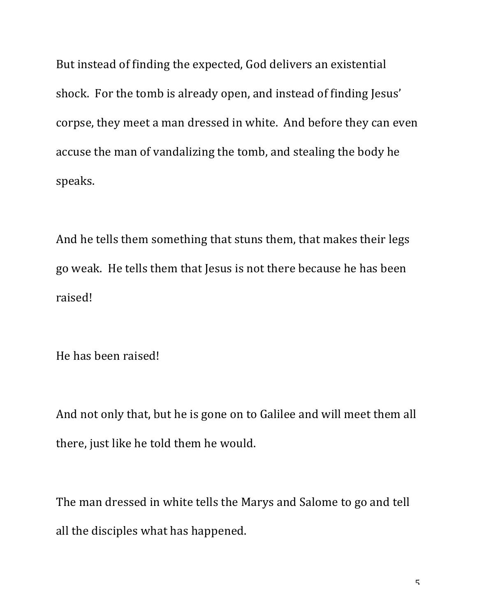But instead of finding the expected, God delivers an existential shock. For the tomb is already open, and instead of finding Jesus' corpse, they meet a man dressed in white. And before they can even accuse the man of vandalizing the tomb, and stealing the body he speaks.

And he tells them something that stuns them, that makes their legs go weak. He tells them that Jesus is not there because he has been raised!

He has been raised!

And not only that, but he is gone on to Galilee and will meet them all there, just like he told them he would.

The man dressed in white tells the Marys and Salome to go and tell all the disciples what has happened.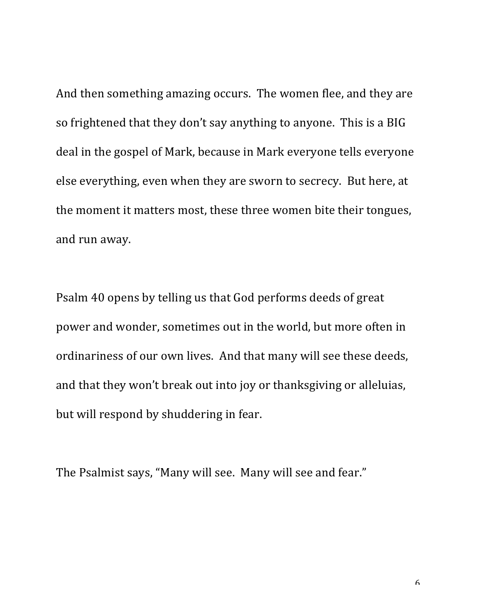And then something amazing occurs. The women flee, and they are so frightened that they don't say anything to anyone. This is a BIG deal in the gospel of Mark, because in Mark everyone tells everyone else everything, even when they are sworn to secrecy. But here, at the moment it matters most, these three women bite their tongues, and run away.

Psalm 40 opens by telling us that God performs deeds of great power and wonder, sometimes out in the world, but more often in ordinariness of our own lives. And that many will see these deeds, and that they won't break out into joy or thanksgiving or alleluias, but will respond by shuddering in fear.

The Psalmist says, "Many will see. Many will see and fear."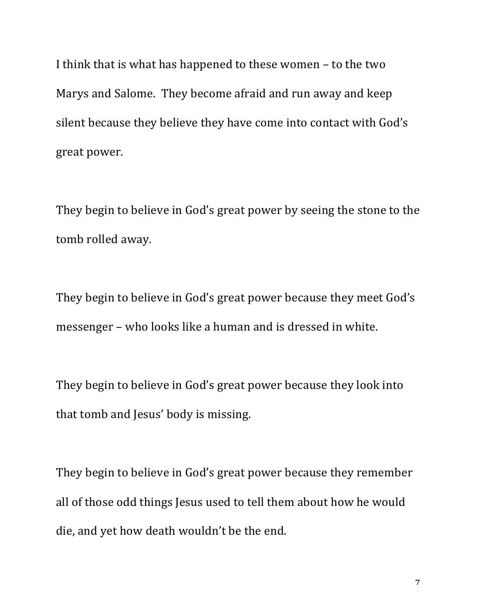I think that is what has happened to these women  $-$  to the two Marys and Salome. They become afraid and run away and keep silent because they believe they have come into contact with God's great power.

They begin to believe in God's great power by seeing the stone to the tomb rolled away.

They begin to believe in God's great power because they meet God's messenger – who looks like a human and is dressed in white.

They begin to believe in God's great power because they look into that tomb and Jesus' body is missing.

They begin to believe in God's great power because they remember all of those odd things Jesus used to tell them about how he would die, and yet how death wouldn't be the end.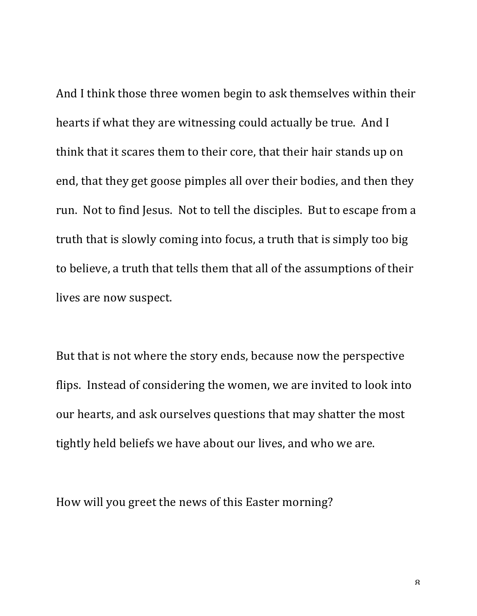And I think those three women begin to ask themselves within their hearts if what they are witnessing could actually be true. And I think that it scares them to their core, that their hair stands up on end, that they get goose pimples all over their bodies, and then they run. Not to find Jesus. Not to tell the disciples. But to escape from a truth that is slowly coming into focus, a truth that is simply too big to believe, a truth that tells them that all of the assumptions of their lives are now suspect.

But that is not where the story ends, because now the perspective flips. Instead of considering the women, we are invited to look into our hearts, and ask ourselves questions that may shatter the most tightly held beliefs we have about our lives, and who we are.

How will you greet the news of this Easter morning?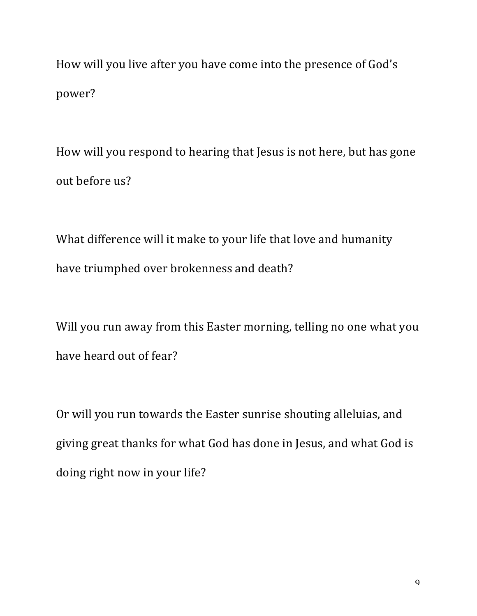How will you live after you have come into the presence of God's power?

How will you respond to hearing that Jesus is not here, but has gone out before us?

What difference will it make to your life that love and humanity have triumphed over brokenness and death?

Will you run away from this Easter morning, telling no one what you have heard out of fear?

Or will you run towards the Easter sunrise shouting alleluias, and giving great thanks for what God has done in Jesus, and what God is doing right now in your life?